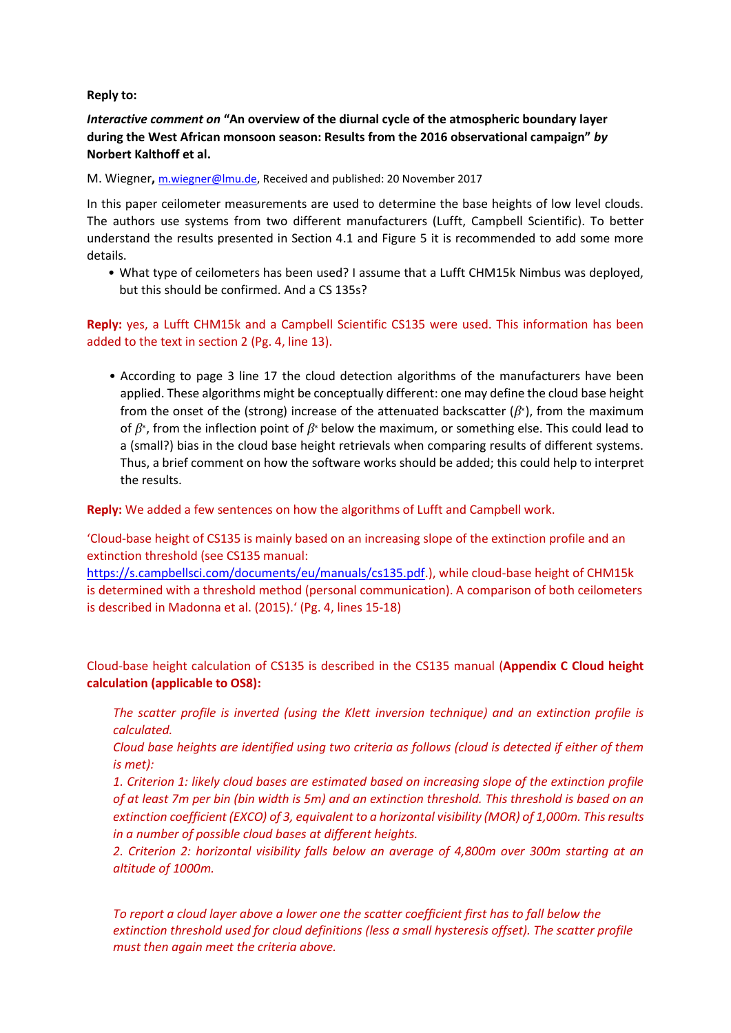**Reply to:**

*Interactive comment on* **"An overview of the diurnal cycle of the atmospheric boundary layer during the West African monsoon season: Results from the 2016 observational campaign"** *by*  **Norbert Kalthoff et al.**

M. Wiegner**,** [m.wiegner@lmu.de,](mailto:m.wiegner@lmu.de) Received and published: 20 November 2017

In this paper ceilometer measurements are used to determine the base heights of low level clouds. The authors use systems from two different manufacturers (Lufft, Campbell Scientific). To better understand the results presented in Section 4.1 and Figure 5 it is recommended to add some more details.

• What type of ceilometers has been used? I assume that a Lufft CHM15k Nimbus was deployed, but this should be confirmed. And a CS 135s?

**Reply:** yes, a Lufft CHM15k and a Campbell Scientific CS135 were used. This information has been added to the text in section 2 (Pg. 4, line 13).

• According to page 3 line 17 the cloud detection algorithms of the manufacturers have been applied. These algorithms might be conceptually different: one may define the cloud base height from the onset of the (strong) increase of the attenuated backscatter (*β*∗), from the maximum of *β*∗, from the inflection point of *β*<sup>∗</sup> below the maximum, or something else. This could lead to a (small?) bias in the cloud base height retrievals when comparing results of different systems. Thus, a brief comment on how the software works should be added; this could help to interpret the results.

**Reply:** We added a few sentences on how the algorithms of Lufft and Campbell work.

'Cloud-base height of CS135 is mainly based on an increasing slope of the extinction profile and an extinction threshold (see CS135 manual:

[https://s.campbellsci.com/documents/eu/manuals/cs135.pdf.](https://s.campbellsci.com/documents/eu/manuals/cs135.pdf)), while cloud-base height of CHM15k is determined with a threshold method (personal communication). A comparison of both ceilometers is described in Madonna et al. (2015).' (Pg. 4, lines 15-18)

Cloud-base height calculation of CS135 is described in the CS135 manual (**Appendix C Cloud height calculation (applicable to OS8):**

*The scatter profile is inverted (using the Klett inversion technique) and an extinction profile is calculated.* 

*Cloud base heights are identified using two criteria as follows (cloud is detected if either of them is met):* 

*1. Criterion 1: likely cloud bases are estimated based on increasing slope of the extinction profile of at least 7m per bin (bin width is 5m) and an extinction threshold. This threshold is based on an extinction coefficient (EXCO) of 3, equivalent to a horizontal visibility (MOR) of 1,000m. This results in a number of possible cloud bases at different heights.* 

*2. Criterion 2: horizontal visibility falls below an average of 4,800m over 300m starting at an altitude of 1000m.* 

*To report a cloud layer above a lower one the scatter coefficient first has to fall below the extinction threshold used for cloud definitions (less a small hysteresis offset). The scatter profile must then again meet the criteria above.*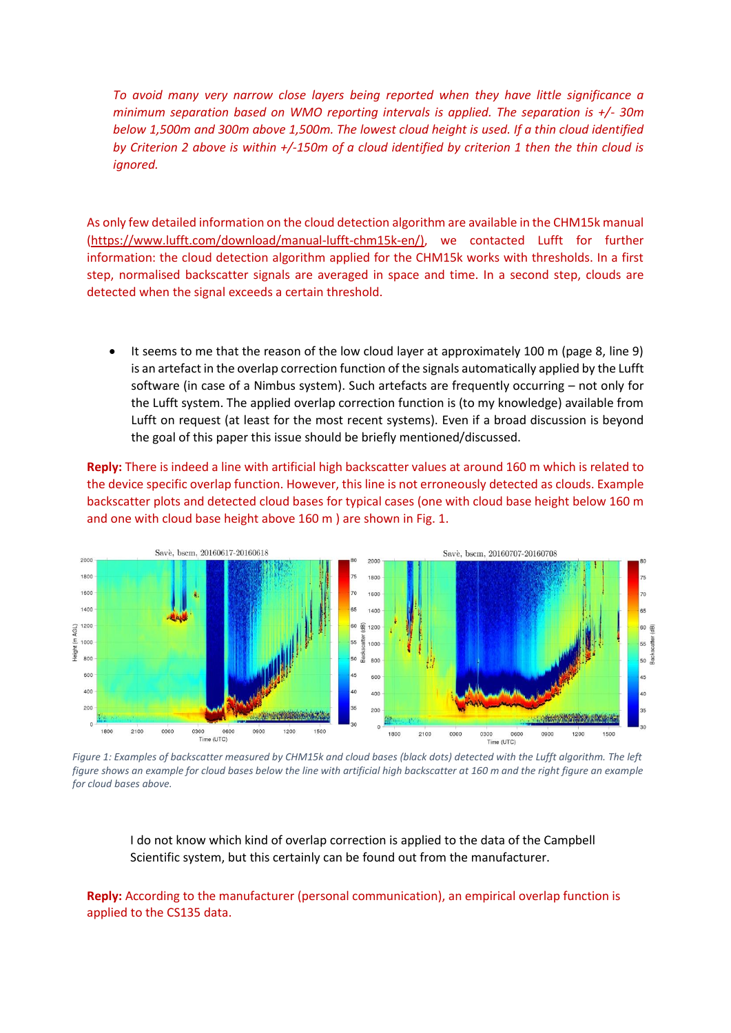*To avoid many very narrow close layers being reported when they have little significance a minimum separation based on WMO reporting intervals is applied. The separation is +/- 30m below 1,500m and 300m above 1,500m. The lowest cloud height is used. If a thin cloud identified by Criterion 2 above is within +/-150m of a cloud identified by criterion 1 then the thin cloud is ignored.* 

As only few detailed information on the cloud detection algorithm are available in the CHM15k manual [\(https://www.lufft.com/download/manual-lufft-chm15k-en/\)](https://www.lufft.com/download/manual-lufft-chm15k-en/), we contacted Lufft for further information: the cloud detection algorithm applied for the CHM15k works with thresholds. In a first step, normalised backscatter signals are averaged in space and time. In a second step, clouds are detected when the signal exceeds a certain threshold.

 It seems to me that the reason of the low cloud layer at approximately 100 m (page 8, line 9) is an artefact in the overlap correction function of the signals automatically applied by the Lufft software (in case of a Nimbus system). Such artefacts are frequently occurring – not only for the Lufft system. The applied overlap correction function is (to my knowledge) available from Lufft on request (at least for the most recent systems). Even if a broad discussion is beyond the goal of this paper this issue should be briefly mentioned/discussed.

**Reply:** There is indeed a line with artificial high backscatter values at around 160 m which is related to the device specific overlap function. However, this line is not erroneously detected as clouds. Example backscatter plots and detected cloud bases for typical cases (one with cloud base height below 160 m and one with cloud base height above 160 m ) are shown in Fig. 1.



*Figure 1: Examples of backscatter measured by CHM15k and cloud bases (black dots) detected with the Lufft algorithm. The left figure shows an example for cloud bases below the line with artificial high backscatter at 160 m and the right figure an example for cloud bases above.* 

I do not know which kind of overlap correction is applied to the data of the Campbell Scientific system, but this certainly can be found out from the manufacturer.

**Reply:** According to the manufacturer (personal communication), an empirical overlap function is applied to the CS135 data.